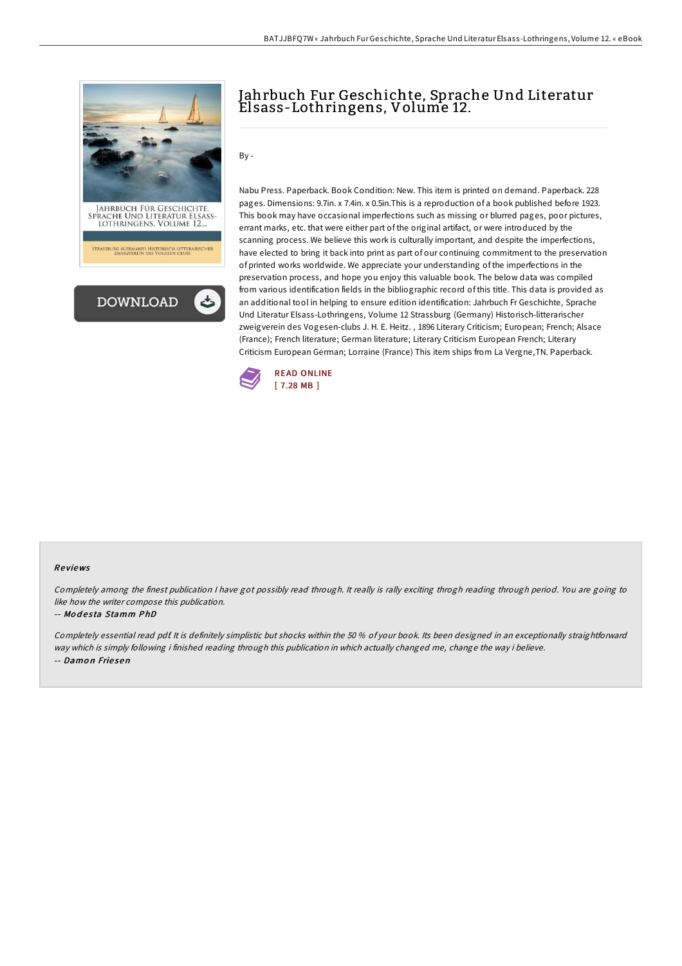

# Jahrbuch Fur Geschichte, Sprache Und Literatur Elsass-Lothringens, Volume 12.

By -

Nabu Press. Paperback. Book Condition: New. This item is printed on demand. Paperback. 228 pages. Dimensions: 9.7in. x 7.4in. x 0.5in.This is a reproduction of a book published before 1923. This book may have occasional imperfections such as missing or blurred pages, poor pictures, errant marks, etc. that were either part of the original artifact, or were introduced by the scanning process. We believe this work is culturally important, and despite the imperfections, have elected to bring it back into print as part of our continuing commitment to the preservation of printed works worldwide. We appreciate your understanding of the imperfections in the preservation process, and hope you enjoy this valuable book. The below data was compiled from various identification fields in the bibliographic record of this title. This data is provided as an additional tool in helping to ensure edition identification: Jahrbuch Fr Geschichte, Sprache Und Literatur Elsass-Lothringens, Volume 12 Strassburg (Germany) Historisch-litterarischer zweigverein des Vogesen-clubs J. H. E. Heitz. , 1896 Literary Criticism; European; French; Alsace (France); French literature; German literature; Literary Criticism European French; Literary Criticism European German; Lorraine (France) This item ships from La Vergne,TN. Paperback.



#### Re views

Completely among the finest publication I have got possibly read through. It really is rally exciting throgh reading through period. You are going to like how the writer compose this publication.

#### -- Modesta Stamm PhD

Completely essential read pdf. It is definitely simplistic but shocks within the 50 % of your book. Its been designed in an exceptionally straightforward way which is simply following i finished reading through this publication in which actually changed me, change the way i believe. -- Damon Friesen